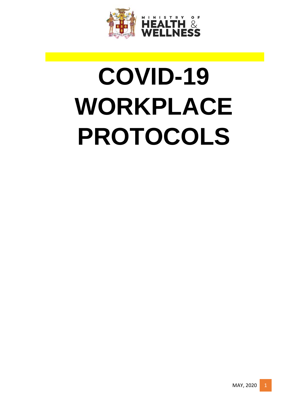

# **COVID-19 WORKPLACE PROTOCOLS**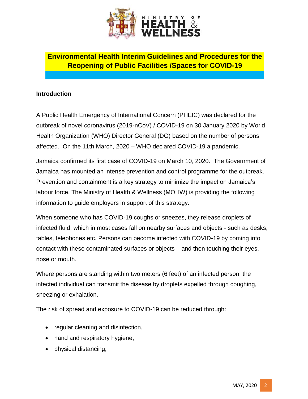

# **Environmental Health Interim Guidelines and Procedures for the Reopening of Public Facilities /Spaces for COVID-19**

#### **Introduction**

A Public Health Emergency of International Concern (PHEIC) was declared for the outbreak of novel coronavirus (2019-nCoV) / COVID-19 on 30 January 2020 by World Health Organization (WHO) Director General (DG) based on the number of persons affected. On the 11th March, 2020 – WHO declared COVID-19 a pandemic.

Jamaica confirmed its first case of COVID-19 on March 10, 2020. The Government of Jamaica has mounted an intense prevention and control programme for the outbreak. Prevention and containment is a key strategy to minimize the impact on Jamaica's labour force. The Ministry of Health & Wellness (MOHW) is providing the following information to guide employers in support of this strategy.

When someone who has COVID-19 coughs or sneezes, they release droplets of infected fluid, which in most cases fall on nearby surfaces and objects - such as desks, tables, telephones etc. Persons can become infected with COVID-19 by coming into contact with these contaminated surfaces or objects – and then touching their eyes, nose or mouth.

Where persons are standing within two meters (6 feet) of an infected person, the infected individual can transmit the disease by droplets expelled through coughing, sneezing or exhalation.

The risk of spread and exposure to COVID-19 can be reduced through:

- regular cleaning and disinfection,
- hand and respiratory hygiene,
- physical distancing,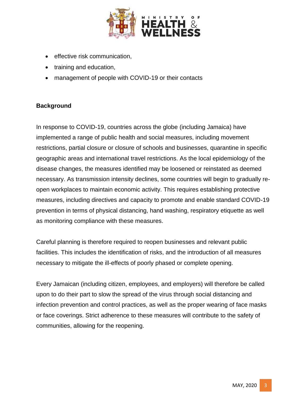

- effective risk communication,
- training and education,
- management of people with COVID-19 or their contacts

# **Background**

In response to COVID-19, countries across the globe (including Jamaica) have implemented a range of public health and social measures, including movement restrictions, partial closure or closure of schools and businesses, quarantine in specific geographic areas and international travel restrictions. As the local epidemiology of the disease changes, the measures identified may be loosened or reinstated as deemed necessary. As transmission intensity declines, some countries will begin to gradually reopen workplaces to maintain economic activity. This requires establishing protective measures, including directives and capacity to promote and enable standard COVID-19 prevention in terms of physical distancing, hand washing, respiratory etiquette as well as monitoring compliance with these measures.

Careful planning is therefore required to reopen businesses and relevant public facilities. This includes the identification of risks, and the introduction of all measures necessary to mitigate the ill-effects of poorly phased or complete opening.

Every Jamaican (including citizen, employees, and employers) will therefore be called upon to do their part to slow the spread of the virus through social distancing and infection prevention and control practices, as well as the proper wearing of face masks or face coverings. Strict adherence to these measures will contribute to the safety of communities, allowing for the reopening.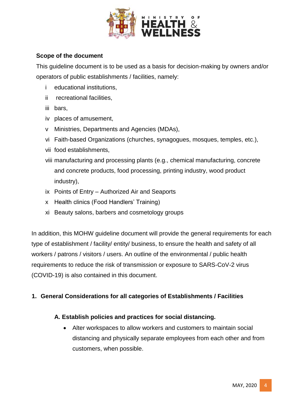

#### **Scope of the document**

This guideline document is to be used as a basis for decision-making by owners and/or operators of public establishments / facilities, namely:

- i educational institutions,
- ii recreational facilities,
- iii bars,
- iv places of amusement,
- v Ministries, Departments and Agencies (MDAs),
- vi Faith-based Organizations (churches, synagogues, mosques, temples, etc.),
- vii food establishments,
- viii manufacturing and processing plants (e.g., chemical manufacturing, concrete and concrete products, food processing, printing industry, wood product industry),
- ix Points of Entry Authorized Air and Seaports
- x Health clinics (Food Handlers' Training)
- xi Beauty salons, barbers and cosmetology groups

In addition, this MOHW guideline document will provide the general requirements for each type of establishment / facility/ entity/ business, to ensure the health and safety of all workers / patrons / visitors / users. An outline of the environmental / public health requirements to reduce the risk of transmission or exposure to SARS-CoV-2 virus (COVID-19) is also contained in this document.

## **1. General Considerations for all categories of Establishments / Facilities**

#### **A. Establish policies and practices for social distancing.**

 Alter workspaces to allow workers and customers to maintain social distancing and physically separate employees from each other and from customers, when possible.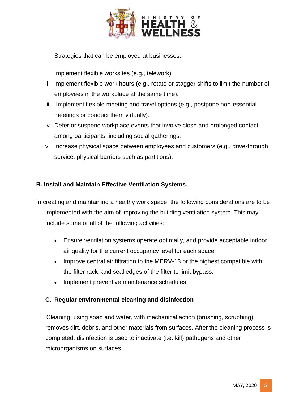

Strategies that can be employed at businesses:

- i Implement flexible worksites (e.g., telework).
- ii Implement flexible work hours (e.g., rotate or stagger shifts to limit the number of employees in the workplace at the same time).
- iii Implement flexible meeting and travel options (e.g., postpone non-essential meetings or conduct them virtually).
- iv Defer or suspend workplace events that involve close and prolonged contact among participants, including social gatherings.
- v Increase physical space between employees and customers (e.g., drive-through service, physical barriers such as partitions).

## **B. Install and Maintain Effective Ventilation Systems.**

- In creating and maintaining a healthy work space, the following considerations are to be implemented with the aim of improving the building ventilation system. This may include some or all of the following activities:
	- Ensure ventilation systems operate optimally, and provide acceptable indoor air quality for the current occupancy level for each space.
	- Improve central air filtration to the MERV-13 or the highest compatible with the filter rack, and seal edges of the filter to limit bypass.
	- Implement preventive maintenance schedules.

#### **C. Regular environmental cleaning and disinfection**

 Cleaning, using soap and water, with mechanical action (brushing, scrubbing) removes dirt, debris, and other materials from surfaces. After the cleaning process is completed, disinfection is used to inactivate (i.e. kill) pathogens and other microorganisms on surfaces.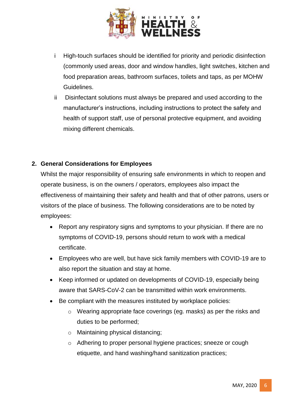

- i High-touch surfaces should be identified for priority and periodic disinfection (commonly used areas, door and window handles, light switches, kitchen and food preparation areas, bathroom surfaces, toilets and taps, as per MOHW Guidelines.
- ii Disinfectant solutions must always be prepared and used according to the manufacturer's instructions, including instructions to protect the safety and health of support staff, use of personal protective equipment, and avoiding mixing different chemicals.

## **2. General Considerations for Employees**

Whilst the major responsibility of ensuring safe environments in which to reopen and operate business, is on the owners / operators, employees also impact the effectiveness of maintaining their safety and health and that of other patrons, users or visitors of the place of business. The following considerations are to be noted by employees:

- Report any respiratory signs and symptoms to your physician. If there are no symptoms of COVID-19, persons should return to work with a medical certificate.
- Employees who are well, but have sick family members with COVID-19 are to also report the situation and stay at home.
- Keep informed or updated on developments of COVID-19, especially being aware that SARS-CoV-2 can be transmitted within work environments.
- Be compliant with the measures instituted by workplace policies:
	- o Wearing appropriate face coverings (eg. masks) as per the risks and duties to be performed;
	- o Maintaining physical distancing;
	- o Adhering to proper personal hygiene practices; sneeze or cough etiquette, and hand washing/hand sanitization practices;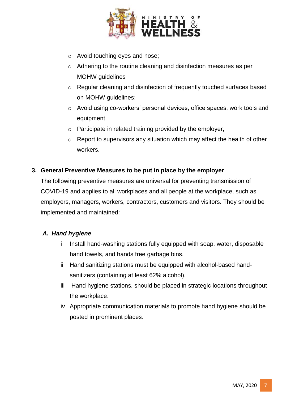

- o Avoid touching eyes and nose;
- o Adhering to the routine cleaning and disinfection measures as per MOHW guidelines
- o Regular cleaning and disinfection of frequently touched surfaces based on MOHW guidelines;
- o Avoid using co-workers' personal devices, office spaces, work tools and equipment
- o Participate in related training provided by the employer,
- $\circ$  Report to supervisors any situation which may affect the health of other workers.

## **3. General Preventive Measures to be put in place by the employer**

The following preventive measures are universal for preventing transmission of COVID-19 and applies to all workplaces and all people at the workplace, such as employers, managers, workers, contractors, customers and visitors. They should be implemented and maintained:

#### *A. Hand hygiene*

- i Install hand-washing stations fully equipped with soap, water, disposable hand towels, and hands free garbage bins.
- ii Hand sanitizing stations must be equipped with alcohol-based handsanitizers (containing at least 62% alcohol).
- iii Hand hygiene stations, should be placed in strategic locations throughout the workplace.
- iv Appropriate communication materials to promote hand hygiene should be posted in prominent places.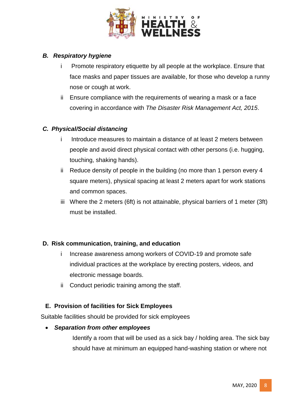

## *B. Respiratory hygiene*

- i Promote respiratory etiquette by all people at the workplace. Ensure that face masks and paper tissues are available, for those who develop a runny nose or cough at work.
- ii Ensure compliance with the requirements of wearing a mask or a face covering in accordance with *The Disaster Risk Management Act, 2015*.

# *C. Physical/Social distancing*

- i Introduce measures to maintain a distance of at least 2 meters between people and avoid direct physical contact with other persons (i.e. hugging, touching, shaking hands).
- ii Reduce density of people in the building (no more than 1 person every 4 square meters), physical spacing at least 2 meters apart for work stations and common spaces.
- iii Where the 2 meters (6ft) is not attainable, physical barriers of 1 meter (3ft) must be installed.

## **D. Risk communication, training, and education**

- i Increase awareness among workers of COVID-19 and promote safe individual practices at the workplace by erecting posters, videos, and electronic message boards.
- ii Conduct periodic training among the staff.

# **E. Provision of facilities for Sick Employees**

Suitable facilities should be provided for sick employees

## *Separation from other employees*

Identify a room that will be used as a sick bay / holding area. The sick bay should have at minimum an equipped hand-washing station or where not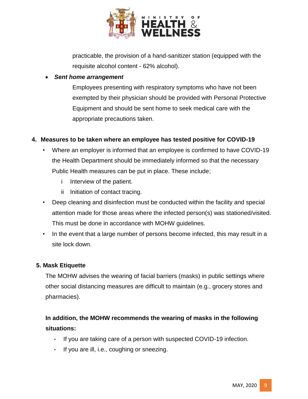

practicable, the provision of a hand-sanitizer station (equipped with the requisite alcohol content - 62% alcohol).

#### *Sent home arrangement*

Employees presenting with respiratory symptoms who have not been exempted by their physician should be provided with Personal Protective Equipment and should be sent home to seek medical care with the appropriate precautions taken.

## **4. Measures to be taken where an employee has tested positive for COVID-19**

- Where an employer is informed that an employee is confirmed to have COVID-19 the Health Department should be immediately informed so that the necessary Public Health measures can be put in place. These include;
	- i Interview of the patient.
	- ii Initiation of contact tracing.
- Deep cleaning and disinfection must be conducted within the facility and special attention made for those areas where the infected person(s) was stationed/visited. This must be done in accordance with MOHW guidelines.
- In the event that a large number of persons become infected, this may result in a site lock down.

## **5. Mask Etiquette**

The MOHW advises the wearing of facial barriers (masks) in public settings where other social distancing measures are difficult to maintain (e.g., grocery stores and pharmacies).

# **In addition, the MOHW recommends the wearing of masks in the following situations:**

- If you are taking care of a person with suspected COVID-19 infection.
- If you are ill, i.e., coughing or sneezing.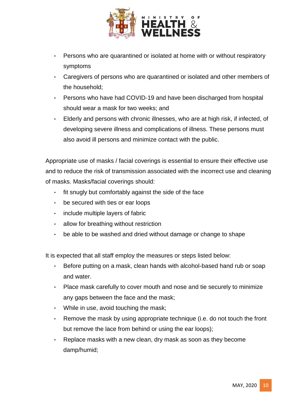

- Persons who are quarantined or isolated at home with or without respiratory symptoms
- Caregivers of persons who are quarantined or isolated and other members of the household;
- Persons who have had COVID-19 and have been discharged from hospital should wear a mask for two weeks; and
- Elderly and persons with chronic illnesses, who are at high risk, if infected, of developing severe illness and complications of illness. These persons must also avoid ill persons and minimize contact with the public.

Appropriate use of masks / facial coverings is essential to ensure their effective use and to reduce the risk of transmission associated with the incorrect use and cleaning of masks. Masks/facial coverings should:

- fit snugly but comfortably against the side of the face
- be secured with ties or ear loops
- include multiple layers of fabric
- allow for breathing without restriction
- be able to be washed and dried without damage or change to shape

It is expected that all staff employ the measures or steps listed below:

- Before putting on a mask, clean hands with alcohol-based hand rub or soap and water.
- Place mask carefully to cover mouth and nose and tie securely to minimize any gaps between the face and the mask;
- While in use, avoid touching the mask;
- Remove the mask by using appropriate technique (i.e. do not touch the front but remove the lace from behind or using the ear loops);
- Replace masks with a new clean, dry mask as soon as they become damp/humid;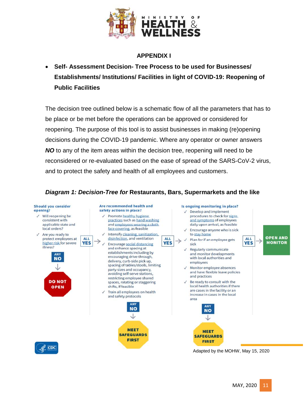

#### **APPENDIX I**

 **Self- Assessment Decision- Tree Process to be used for Businesses/ Establishments/ Institutions/ Facilities in light of COVID-19: Reopening of Public Facilities**

The decision tree outlined below is a schematic flow of all the parameters that has to be place or be met before the operations can be approved or considered for reopening. The purpose of this tool is to assist businesses in making (re)opening decisions during the COVID-19 pandemic. Where any operator or owner answers *NO* to any of the item areas within the decision tree, reopening will need to be reconsidered or re-evaluated based on the ease of spread of the SARS-CoV-2 virus, and to protect the safety and health of all employees and customers.

# *Diagram 1: Decision-Tree for* **Restaurants, Bars, Supermarkets and the like**

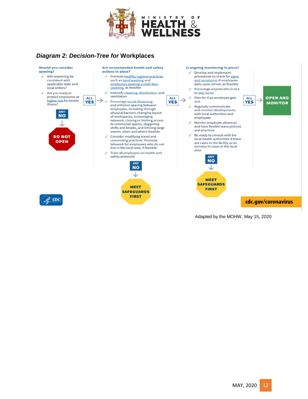

# *Diagram 2: Decision-Tree for* **Workplaces**



Adapted by the MOHW, May 15, 2020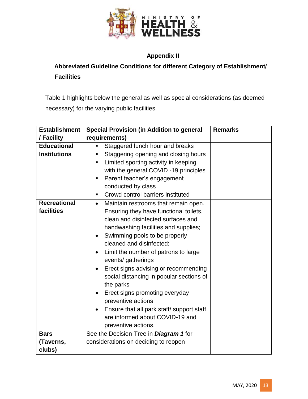

# **Appendix II**

# **Abbreviated Guideline Conditions for different Category of Establishment/ Facilities**

Table 1 highlights below the general as well as special considerations (as deemed necessary) for the varying public facilities.

| <b>Establishment</b>              | <b>Special Provision (in Addition to general</b>                                                                                                                                                                                                                                                                                                                                                                                                                                                                                                                        | <b>Remarks</b> |
|-----------------------------------|-------------------------------------------------------------------------------------------------------------------------------------------------------------------------------------------------------------------------------------------------------------------------------------------------------------------------------------------------------------------------------------------------------------------------------------------------------------------------------------------------------------------------------------------------------------------------|----------------|
| / Facility                        | requirements)                                                                                                                                                                                                                                                                                                                                                                                                                                                                                                                                                           |                |
| <b>Educational</b>                | Staggered lunch hour and breaks                                                                                                                                                                                                                                                                                                                                                                                                                                                                                                                                         |                |
| <b>Institutions</b>               | Staggering opening and closing hours<br>ш<br>Limited sporting activity in keeping<br>٠<br>with the general COVID -19 principles<br>Parent teacher's engagement<br>п<br>conducted by class<br>Crowd control barriers instituted<br>٠                                                                                                                                                                                                                                                                                                                                     |                |
| <b>Recreational</b><br>facilities | Maintain restrooms that remain open.<br>$\bullet$<br>Ensuring they have functional toilets,<br>clean and disinfected surfaces and<br>handwashing facilities and supplies;<br>Swimming pools to be properly<br>cleaned and disinfected;<br>Limit the number of patrons to large<br>$\bullet$<br>events/ gatherings<br>Erect signs advising or recommending<br>social distancing in popular sections of<br>the parks<br>Erect signs promoting everyday<br>$\bullet$<br>preventive actions<br>Ensure that all park staff/ support staff<br>are informed about COVID-19 and |                |
| <b>Bars</b>                       | preventive actions.<br>See the Decision-Tree in <b>Diagram 1</b> for                                                                                                                                                                                                                                                                                                                                                                                                                                                                                                    |                |
|                                   | considerations on deciding to reopen                                                                                                                                                                                                                                                                                                                                                                                                                                                                                                                                    |                |
| (Taverns,<br>clubs)               |                                                                                                                                                                                                                                                                                                                                                                                                                                                                                                                                                                         |                |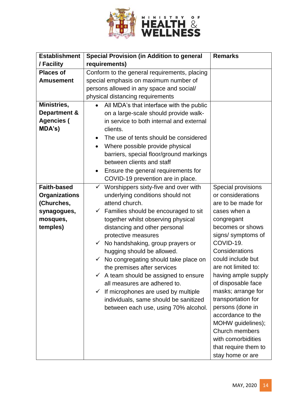

| <b>Establishment</b> | <b>Special Provision (in Addition to general</b>     | <b>Remarks</b>       |
|----------------------|------------------------------------------------------|----------------------|
| / Facility           | requirements)                                        |                      |
| <b>Places of</b>     | Conform to the general requirements, placing         |                      |
| <b>Amusement</b>     | special emphasis on maximum number of                |                      |
|                      | persons allowed in any space and social/             |                      |
|                      | physical distancing requirements                     |                      |
| Ministries,          | All MDA's that interface with the public             |                      |
| Department &         | on a large-scale should provide walk-                |                      |
| <b>Agencies (</b>    | in service to both internal and external             |                      |
| MDA's)               | clients.                                             |                      |
|                      | The use of tents should be considered                |                      |
|                      | Where possible provide physical<br>$\bullet$         |                      |
|                      | barriers, special floor/ground markings              |                      |
|                      | between clients and staff                            |                      |
|                      | Ensure the general requirements for<br>٠             |                      |
|                      | COVID-19 prevention are in place.                    |                      |
| <b>Faith-based</b>   | Worshippers sixty-five and over with<br>$\checkmark$ | Special provisions   |
| <b>Organizations</b> | underlying conditions should not                     | or considerations    |
| (Churches,           | attend church.                                       | are to be made for   |
| synagogues,          | Families should be encouraged to sit<br>$\checkmark$ | cases when a         |
| mosques,             | together whilst observing physical                   | congregant           |
| temples)             | distancing and other personal                        | becomes or shows     |
|                      | protective measures                                  | signs/symptoms of    |
|                      | $\checkmark$ No handshaking, group prayers or        | COVID-19.            |
|                      | hugging should be allowed.                           | Considerations       |
|                      | No congregating should take place on                 | could include but    |
|                      | the premises after services                          | are not limited to:  |
|                      | $\checkmark$ A team should be assigned to ensure     | having ample supply  |
|                      | all measures are adhered to.                         | of disposable face   |
|                      | If microphones are used by multiple<br>$\checkmark$  | masks; arrange for   |
|                      | individuals, same should be sanitized                | transportation for   |
|                      | between each use, using 70% alcohol.                 | persons (done in     |
|                      |                                                      | accordance to the    |
|                      |                                                      | MOHW guidelines);    |
|                      |                                                      | Church members       |
|                      |                                                      | with comorbidities   |
|                      |                                                      | that require them to |
|                      |                                                      | stay home or are     |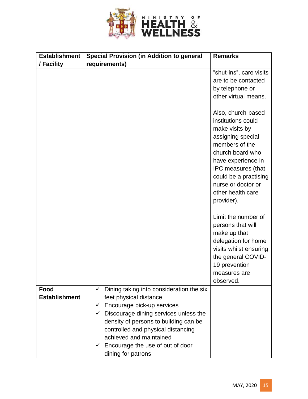

| <b>Establishment</b><br>/ Facility | <b>Special Provision (in Addition to general</b><br>requirements)                                                                                                                                                                                                                                                                                                       | <b>Remarks</b>                                                                                                                                                                                                     |
|------------------------------------|-------------------------------------------------------------------------------------------------------------------------------------------------------------------------------------------------------------------------------------------------------------------------------------------------------------------------------------------------------------------------|--------------------------------------------------------------------------------------------------------------------------------------------------------------------------------------------------------------------|
|                                    |                                                                                                                                                                                                                                                                                                                                                                         | "shut-ins", care visits<br>are to be contacted<br>by telephone or                                                                                                                                                  |
|                                    |                                                                                                                                                                                                                                                                                                                                                                         | other virtual means.<br>Also, church-based<br>institutions could<br>make visits by<br>assigning special<br>members of the<br>church board who<br>have experience in<br>IPC measures (that<br>could be a practising |
|                                    |                                                                                                                                                                                                                                                                                                                                                                         | nurse or doctor or<br>other health care<br>provider).<br>Limit the number of                                                                                                                                       |
|                                    |                                                                                                                                                                                                                                                                                                                                                                         | persons that will<br>make up that<br>delegation for home<br>visits whilst ensuring<br>the general COVID-<br>19 prevention<br>measures are<br>observed.                                                             |
| Food<br><b>Establishment</b>       | Dining taking into consideration the six<br>$\checkmark$<br>feet physical distance<br>$\checkmark$ Encourage pick-up services<br>Discourage dining services unless the<br>$\checkmark$<br>density of persons to building can be<br>controlled and physical distancing<br>achieved and maintained<br>$\checkmark$ Encourage the use of out of door<br>dining for patrons |                                                                                                                                                                                                                    |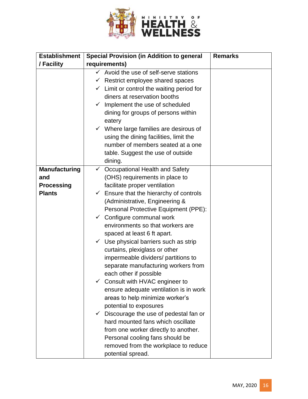

| <b>Special Provision (in Addition to general</b>                                                                                                                                                                                                                                                                                                                                                                                                         | <b>Remarks</b>                                                                                                                                                                                                                                                                                                                                                                                                                                                                                                                                                                                                                                                                                                                                     |
|----------------------------------------------------------------------------------------------------------------------------------------------------------------------------------------------------------------------------------------------------------------------------------------------------------------------------------------------------------------------------------------------------------------------------------------------------------|----------------------------------------------------------------------------------------------------------------------------------------------------------------------------------------------------------------------------------------------------------------------------------------------------------------------------------------------------------------------------------------------------------------------------------------------------------------------------------------------------------------------------------------------------------------------------------------------------------------------------------------------------------------------------------------------------------------------------------------------------|
| requirements)                                                                                                                                                                                                                                                                                                                                                                                                                                            |                                                                                                                                                                                                                                                                                                                                                                                                                                                                                                                                                                                                                                                                                                                                                    |
| Avoid the use of self-serve stations<br>$\checkmark$ Restrict employee shared spaces<br>$\checkmark$ Limit or control the waiting period for<br>diners at reservation booths<br>Implement the use of scheduled<br>$\checkmark$<br>dining for groups of persons within<br>eatery<br>$\checkmark$ Where large families are desirous of<br>using the dining facilities, limit the<br>number of members seated at a one<br>table. Suggest the use of outside |                                                                                                                                                                                                                                                                                                                                                                                                                                                                                                                                                                                                                                                                                                                                                    |
| Occupational Health and Safety<br>$\checkmark$                                                                                                                                                                                                                                                                                                                                                                                                           |                                                                                                                                                                                                                                                                                                                                                                                                                                                                                                                                                                                                                                                                                                                                                    |
| (OHS) requirements in place to                                                                                                                                                                                                                                                                                                                                                                                                                           |                                                                                                                                                                                                                                                                                                                                                                                                                                                                                                                                                                                                                                                                                                                                                    |
| facilitate proper ventilation                                                                                                                                                                                                                                                                                                                                                                                                                            |                                                                                                                                                                                                                                                                                                                                                                                                                                                                                                                                                                                                                                                                                                                                                    |
| Ensure that the hierarchy of controls<br>$\checkmark$                                                                                                                                                                                                                                                                                                                                                                                                    |                                                                                                                                                                                                                                                                                                                                                                                                                                                                                                                                                                                                                                                                                                                                                    |
| (Administrative, Engineering &                                                                                                                                                                                                                                                                                                                                                                                                                           |                                                                                                                                                                                                                                                                                                                                                                                                                                                                                                                                                                                                                                                                                                                                                    |
|                                                                                                                                                                                                                                                                                                                                                                                                                                                          |                                                                                                                                                                                                                                                                                                                                                                                                                                                                                                                                                                                                                                                                                                                                                    |
|                                                                                                                                                                                                                                                                                                                                                                                                                                                          |                                                                                                                                                                                                                                                                                                                                                                                                                                                                                                                                                                                                                                                                                                                                                    |
|                                                                                                                                                                                                                                                                                                                                                                                                                                                          |                                                                                                                                                                                                                                                                                                                                                                                                                                                                                                                                                                                                                                                                                                                                                    |
|                                                                                                                                                                                                                                                                                                                                                                                                                                                          |                                                                                                                                                                                                                                                                                                                                                                                                                                                                                                                                                                                                                                                                                                                                                    |
|                                                                                                                                                                                                                                                                                                                                                                                                                                                          |                                                                                                                                                                                                                                                                                                                                                                                                                                                                                                                                                                                                                                                                                                                                                    |
|                                                                                                                                                                                                                                                                                                                                                                                                                                                          |                                                                                                                                                                                                                                                                                                                                                                                                                                                                                                                                                                                                                                                                                                                                                    |
|                                                                                                                                                                                                                                                                                                                                                                                                                                                          |                                                                                                                                                                                                                                                                                                                                                                                                                                                                                                                                                                                                                                                                                                                                                    |
|                                                                                                                                                                                                                                                                                                                                                                                                                                                          |                                                                                                                                                                                                                                                                                                                                                                                                                                                                                                                                                                                                                                                                                                                                                    |
|                                                                                                                                                                                                                                                                                                                                                                                                                                                          |                                                                                                                                                                                                                                                                                                                                                                                                                                                                                                                                                                                                                                                                                                                                                    |
|                                                                                                                                                                                                                                                                                                                                                                                                                                                          |                                                                                                                                                                                                                                                                                                                                                                                                                                                                                                                                                                                                                                                                                                                                                    |
|                                                                                                                                                                                                                                                                                                                                                                                                                                                          |                                                                                                                                                                                                                                                                                                                                                                                                                                                                                                                                                                                                                                                                                                                                                    |
|                                                                                                                                                                                                                                                                                                                                                                                                                                                          |                                                                                                                                                                                                                                                                                                                                                                                                                                                                                                                                                                                                                                                                                                                                                    |
|                                                                                                                                                                                                                                                                                                                                                                                                                                                          |                                                                                                                                                                                                                                                                                                                                                                                                                                                                                                                                                                                                                                                                                                                                                    |
|                                                                                                                                                                                                                                                                                                                                                                                                                                                          |                                                                                                                                                                                                                                                                                                                                                                                                                                                                                                                                                                                                                                                                                                                                                    |
|                                                                                                                                                                                                                                                                                                                                                                                                                                                          |                                                                                                                                                                                                                                                                                                                                                                                                                                                                                                                                                                                                                                                                                                                                                    |
|                                                                                                                                                                                                                                                                                                                                                                                                                                                          |                                                                                                                                                                                                                                                                                                                                                                                                                                                                                                                                                                                                                                                                                                                                                    |
|                                                                                                                                                                                                                                                                                                                                                                                                                                                          |                                                                                                                                                                                                                                                                                                                                                                                                                                                                                                                                                                                                                                                                                                                                                    |
|                                                                                                                                                                                                                                                                                                                                                                                                                                                          |                                                                                                                                                                                                                                                                                                                                                                                                                                                                                                                                                                                                                                                                                                                                                    |
|                                                                                                                                                                                                                                                                                                                                                                                                                                                          | dining.<br>Personal Protective Equipment (PPE):<br>$\checkmark$ Configure communal work<br>environments so that workers are<br>spaced at least 6 ft apart.<br>$\checkmark$ Use physical barriers such as strip<br>curtains, plexiglass or other<br>impermeable dividers/ partitions to<br>separate manufacturing workers from<br>each other if possible<br>$\checkmark$ Consult with HVAC engineer to<br>ensure adequate ventilation is in work<br>areas to help minimize worker's<br>potential to exposures<br>Discourage the use of pedestal fan or<br>$\checkmark$<br>hard mounted fans which oscillate<br>from one worker directly to another.<br>Personal cooling fans should be<br>removed from the workplace to reduce<br>potential spread. |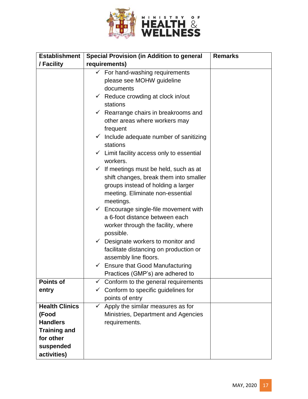

| <b>Establishment</b>                                                                                              | <b>Special Provision (in Addition to general</b>                                                                                                                                                                                                                                                                                                                                                                                                                                                                                                                                                                                                                                                                                                                                                                             | <b>Remarks</b> |
|-------------------------------------------------------------------------------------------------------------------|------------------------------------------------------------------------------------------------------------------------------------------------------------------------------------------------------------------------------------------------------------------------------------------------------------------------------------------------------------------------------------------------------------------------------------------------------------------------------------------------------------------------------------------------------------------------------------------------------------------------------------------------------------------------------------------------------------------------------------------------------------------------------------------------------------------------------|----------------|
| / Facility                                                                                                        | requirements)                                                                                                                                                                                                                                                                                                                                                                                                                                                                                                                                                                                                                                                                                                                                                                                                                |                |
|                                                                                                                   | For hand-washing requirements<br>please see MOHW guideline<br>documents<br>$\checkmark$ Reduce crowding at clock in/out<br>stations<br>$\checkmark$ Rearrange chairs in breakrooms and<br>other areas where workers may<br>frequent<br>$\checkmark$ Include adequate number of sanitizing<br>stations<br>$\checkmark$ Limit facility access only to essential<br>workers.<br>$\checkmark$ If meetings must be held, such as at<br>shift changes, break them into smaller<br>groups instead of holding a larger<br>meeting. Eliminate non-essential<br>meetings.<br>$\checkmark$ Encourage single-file movement with<br>a 6-foot distance between each<br>worker through the facility, where<br>possible.<br>$\checkmark$ Designate workers to monitor and<br>facilitate distancing on production or<br>assembly line floors. |                |
|                                                                                                                   | $\checkmark$ Ensure that Good Manufacturing<br>Practices (GMP's) are adhered to                                                                                                                                                                                                                                                                                                                                                                                                                                                                                                                                                                                                                                                                                                                                              |                |
| <b>Points of</b><br>entry                                                                                         | $\checkmark$ Conform to the general requirements<br>Conform to specific guidelines for<br>points of entry                                                                                                                                                                                                                                                                                                                                                                                                                                                                                                                                                                                                                                                                                                                    |                |
| <b>Health Clinics</b><br>(Food<br><b>Handlers</b><br><b>Training and</b><br>for other<br>suspended<br>activities) | $\checkmark$ Apply the similar measures as for<br>Ministries, Department and Agencies<br>requirements.                                                                                                                                                                                                                                                                                                                                                                                                                                                                                                                                                                                                                                                                                                                       |                |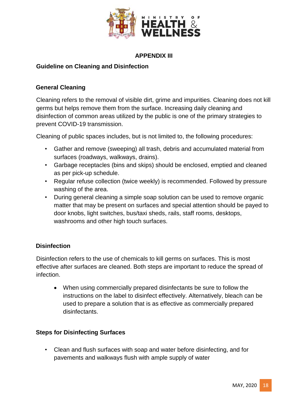

#### **APPENDIX III**

#### **Guideline on Cleaning and Disinfection**

#### **General Cleaning**

Cleaning refers to the removal of visible dirt, grime and impurities. Cleaning does not kill germs but helps remove them from the surface. Increasing daily cleaning and disinfection of common areas utilized by the public is one of the primary strategies to prevent COVID-19 transmission.

Cleaning of public spaces includes, but is not limited to, the following procedures:

- Gather and remove (sweeping) all trash, debris and accumulated material from surfaces (roadways, walkways, drains).
- Garbage receptacles (bins and skips) should be enclosed, emptied and cleaned as per pick-up schedule.
- Regular refuse collection (twice weekly) is recommended. Followed by pressure washing of the area.
- During general cleaning a simple soap solution can be used to remove organic matter that may be present on surfaces and special attention should be payed to door knobs, light switches, bus/taxi sheds, rails, staff rooms, desktops, washrooms and other high touch surfaces.

## **Disinfection**

Disinfection refers to the use of chemicals to kill germs on surfaces. This is most effective after surfaces are cleaned. Both steps are important to reduce the spread of infection.

 When using commercially prepared disinfectants be sure to follow the instructions on the label to disinfect effectively. Alternatively, bleach can be used to prepare a solution that is as effective as commercially prepared disinfectants.

#### **Steps for Disinfecting Surfaces**

• Clean and flush surfaces with soap and water before disinfecting, and for pavements and walkways flush with ample supply of water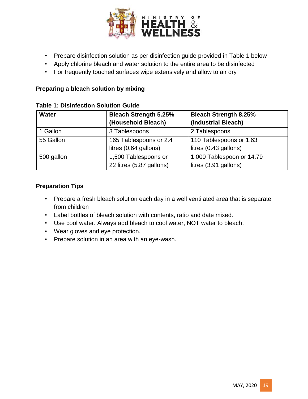

- Prepare disinfection solution as per disinfection guide provided in Table 1 below
- Apply chlorine bleach and water solution to the entire area to be disinfected
- For frequently touched surfaces wipe extensively and allow to air dry

## **Preparing a bleach solution by mixing**

| <b>Water</b> | <b>Bleach Strength 5.25%</b><br>(Household Bleach) | <b>Bleach Strength 8.25%</b><br>(Industrial Bleach) |
|--------------|----------------------------------------------------|-----------------------------------------------------|
| 1 Gallon     | 3 Tablespoons                                      | 2 Tablespoons                                       |
| 55 Gallon    | 165 Tablespoons or 2.4<br>litres (0.64 gallons)    | 110 Tablespoons or 1.63<br>litres (0.43 gallons)    |
| 500 gallon   | 1,500 Tablespoons or<br>22 litres (5.87 gallons)   | 1,000 Tablespoon or 14.79<br>litres (3.91 gallons)  |

#### **Table 1: Disinfection Solution Guide**

#### **Preparation Tips**

- Prepare a fresh bleach solution each day in a well ventilated area that is separate from children
- Label bottles of bleach solution with contents, ratio and date mixed.
- Use cool water. Always add bleach to cool water, NOT water to bleach.
- Wear gloves and eye protection.
- Prepare solution in an area with an eye-wash.